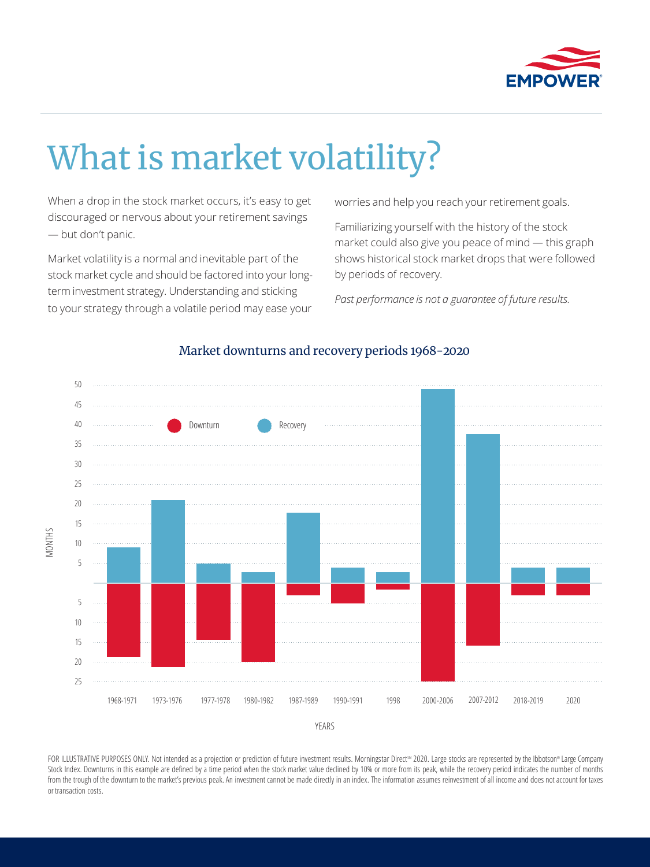

# What is market volatility?

When a drop in the stock market occurs, it's easy to get discouraged or nervous about your retirement savings — but don't panic.

Market volatility is a normal and inevitable part of the stock market cycle and should be factored into your longterm investment strategy. Understanding and sticking to your strategy through a volatile period may ease your

worries and help you reach your retirement goals.

Familiarizing yourself with the history of the stock market could also give you peace of mind — this graph shows historical stock market drops that were followed by periods of recovery.

*Past performance is not a guarantee of future results.*



# Market downturns and recovery periods 1968-2020

FOR ILLUSTRATIVE PURPOSES ONLY. Not intended as a projection or prediction of future investment results. Morningstar Direct<sup>30</sup> 2020. Large stocks are represented by the Ibbotson® Large Company Stock Index. Downturns in this example are defined by a time period when the stock market value declined by 10% or more from its peak, while the recovery period indicates the number of months from the trough of the downturn to the market's previous peak. An investment cannot be made directly in an index. The information assumes reinvestment of all income and does not account for taxes